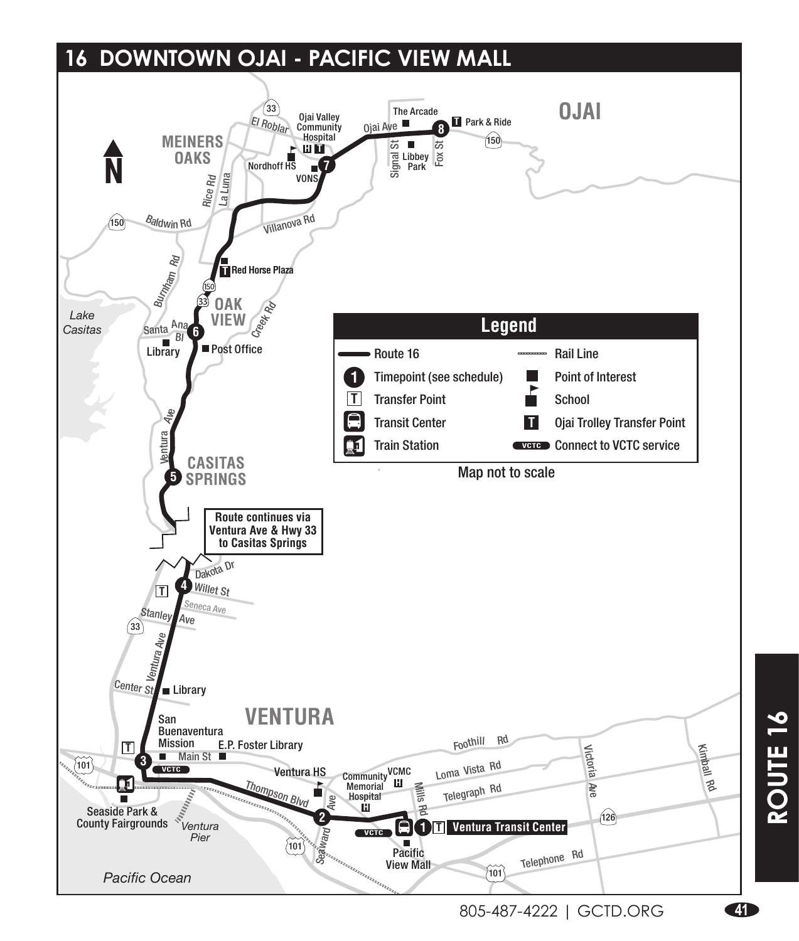### **16 DOWNTOWN OJAI - PACIFIC VIEW MALL**

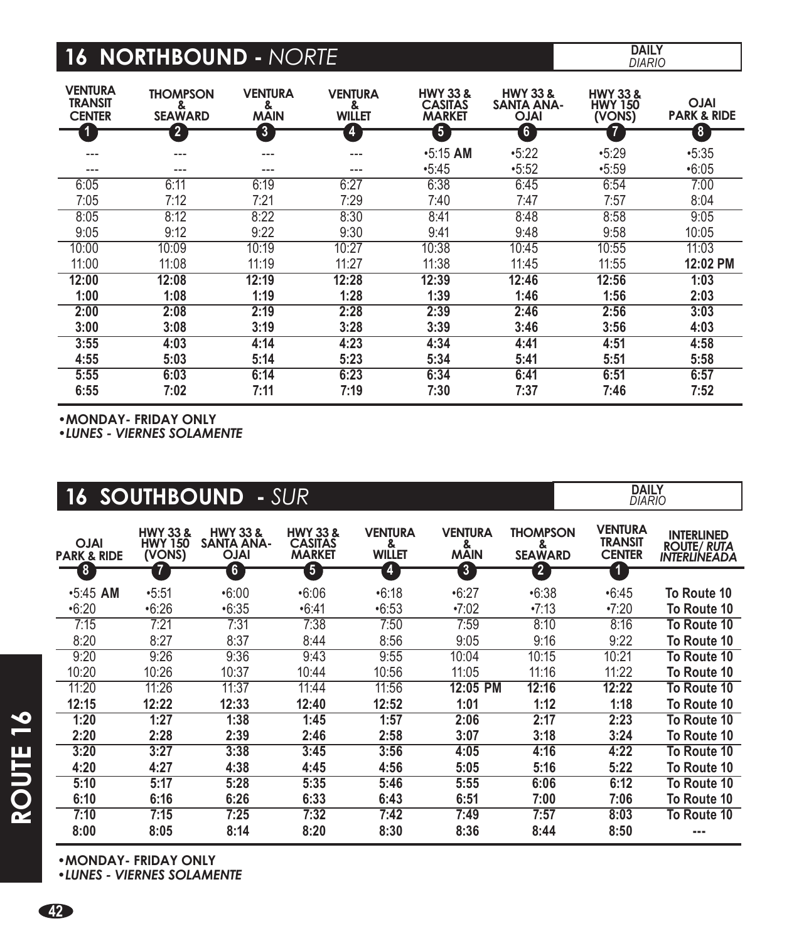# **16 NORTHBOUND -** *NORTE* **DAILY**

*DIARIO*

| <b>VENTURA</b><br><b>TRANSIT</b><br><b>CENTER</b> | <b>THOMPSON</b><br>&<br><b>SEAWARD</b> | <b>VENTURA</b><br>&<br><b>MAIN</b> | <b>VENTURA</b><br>&<br><b>WILLET</b> | <b>HWY 33 &amp;</b><br><b>CASITAS</b><br><b>MARKET</b> | <b>HWY 33 &amp;</b><br><b>SANTA ANA-</b><br><b>IALO</b> | <b>HWY 33 &amp;</b><br><b>HWY 150</b><br>(VONS) | <b>IALO</b><br><b>PARK &amp; RIDE</b> |
|---------------------------------------------------|----------------------------------------|------------------------------------|--------------------------------------|--------------------------------------------------------|---------------------------------------------------------|-------------------------------------------------|---------------------------------------|
|                                                   | $\mathbf{2}$                           | 3                                  | 4                                    | 5                                                      | 6                                                       |                                                 | $\boldsymbol{\delta}$                 |
|                                                   | ---                                    | ---                                | ---                                  | $•5:15$ AM                                             | •5:22                                                   | •5:29                                           | •5:35                                 |
| ---                                               | ---                                    | ---                                | ---                                  | •5:45                                                  | •5:52                                                   | •5:59                                           | •6:05                                 |
| 6:05                                              | 6:11                                   | 6:19                               | 6:27                                 | 6:38                                                   | 6:45                                                    | 6:54                                            | 7:00                                  |
| 7:05                                              | 7:12                                   | 7:21                               | 7:29                                 | 7:40                                                   | 7:47                                                    | 7:57                                            | 8:04                                  |
| 8:05                                              | 8:12                                   | 8:22                               | 8:30                                 | 8:41                                                   | 8:48                                                    | 8:58                                            | 9:05                                  |
| 9:05                                              | 9:12                                   | 9:22                               | 9:30                                 | 9:41                                                   | 9:48                                                    | 9:58                                            | 10:05                                 |
| 10:00                                             | 10:09                                  | 10:19                              | 10:27                                | 10:38                                                  | 10:45                                                   | 10:55                                           | 11:03                                 |
| 11:00                                             | 11:08                                  | 11:19                              | 11:27                                | 11:38                                                  | 11:45                                                   | 11:55                                           | 12:02 PM                              |
| 12:00                                             | 12:08                                  | 12:19                              | 12:28                                | 12:39                                                  | 12:46                                                   | 12:56                                           | 1:03                                  |
| 1:00                                              | 1:08                                   | 1:19                               | 1:28                                 | 1:39                                                   | 1:46                                                    | 1:56                                            | 2:03                                  |
| 2:00                                              | 2:08                                   | 2:19                               | 2:28                                 | 2:39                                                   | 2:46                                                    | 2:56                                            | 3:03                                  |
| 3:00                                              | 3:08                                   | 3:19                               | 3:28                                 | 3:39                                                   | 3:46                                                    | 3:56                                            | 4:03                                  |
| 3:55                                              | 4:03                                   | 4:14                               | 4:23                                 | 4:34                                                   | 4:41                                                    | 4:51                                            | 4:58                                  |
| 4:55                                              | 5:03                                   | 5:14                               | 5:23                                 | 5:34                                                   | 5:41                                                    | 5:51                                            | 5:58                                  |
| 5:55                                              | 6:03                                   | 6:14                               | 6:23                                 | 6:34                                                   | 6:41                                                    | 6:51                                            | 6:57                                  |
| 6:55                                              | 7:02                                   | 7:11                               | 7:19                                 | 7:30                                                   | 7:37                                                    | 7:46                                            | 7:52                                  |

**•MONDAY- FRIDAY ONLY**

**•***LUNES - VIERNES SOLAMENTE*

|                                       | <b>16 SOUTHBOUND</b>                            |                                                         | - SUR                                                  |                                      |                                    |                                        | <b>DAILY</b><br><b>DIARIO</b>                     |                                                         |
|---------------------------------------|-------------------------------------------------|---------------------------------------------------------|--------------------------------------------------------|--------------------------------------|------------------------------------|----------------------------------------|---------------------------------------------------|---------------------------------------------------------|
| <b>OJAI</b><br><b>PARK &amp; RIDE</b> | <b>HWY 33 &amp;</b><br><b>HWY 150</b><br>(VONS) | <b>HWY 33 &amp;</b><br><b>SANTA ANA-</b><br><b>IALO</b> | <b>HWY 33 &amp;</b><br><b>CASITAS</b><br><b>MARKET</b> | <b>VENTURA</b><br>&<br><b>WILLET</b> | <b>VENTURA</b><br>&<br><b>MAIN</b> | <b>THOMPSON</b><br>&<br><b>SEAWARD</b> | <b>VENTURA</b><br><b>TRANSIT</b><br><b>CENTER</b> | <b>INTERLINED</b><br><b>ROUTE/ RUTA</b><br>INTERLINEADA |
| 8                                     | $\overline{7}$                                  | $\boldsymbol{6}$                                        | $\overline{\mathbf{5}}$                                | $\overline{4}$                       | $\overline{\mathbf{3}}$            | 2                                      | 1                                                 |                                                         |
| $•5:45$ AM                            | •5:51                                           | •6:00                                                   | •6:06                                                  | •6:18                                | •6:27                              | •6:38                                  | •6:45                                             | To Route 10                                             |
| •6:20                                 | •6:26                                           | •6:35                                                   | •6:41                                                  | •6:53                                | $-7:02$                            | $-7:13$                                | •7:20                                             | To Route 10                                             |
| 7:15                                  | 7:21                                            | 7:31                                                    | 7:38                                                   | 7:50                                 | 7:59                               | 8:10                                   | 8:16                                              | To Route 10                                             |
| 8:20                                  | 8:27                                            | 8:37                                                    | 8:44                                                   | 8:56                                 | 9:05                               | 9:16                                   | 9:22                                              | To Route 10                                             |
| 9:20                                  | 9:26                                            | 9:36                                                    | 9:43                                                   | 9:55                                 | 10:04                              | 10:15                                  | 10:21                                             | To Route 10                                             |
| 10:20                                 | 10:26                                           | 10:37                                                   | 10:44                                                  | 10:56                                | 11:05                              | 11:16                                  | 11:22                                             | To Route 10                                             |
| 11:20                                 | 11:26                                           | 11:37                                                   | 11:44                                                  | 11:56                                | 12:05 PM                           | 12:16                                  | 12:22                                             | To Route 10                                             |
| 12:15                                 | 12:22                                           | 12:33                                                   | 12:40                                                  | 12:52                                | 1:01                               | 1:12                                   | 1:18                                              | To Route 10                                             |
| 1:20                                  | 1:27                                            | 1:38                                                    | 1:45                                                   | 1:57                                 | 2:06                               | 2:17                                   | 2:23                                              | To Route 10                                             |
| 2:20                                  | 2:28                                            | 2:39                                                    | 2:46                                                   | 2:58                                 | 3:07                               | 3:18                                   | 3:24                                              | To Route 10                                             |
| 3:20                                  | 3:27                                            | 3:38                                                    | 3:45                                                   | 3:56                                 | 4:05                               | 4:16                                   | 4:22                                              | To Route 10                                             |
| 4:20                                  | 4:27                                            | 4:38                                                    | 4:45                                                   | 4:56                                 | 5:05                               | 5:16                                   | 5:22                                              | To Route 10                                             |
| 5:10                                  | 5:17                                            | 5:28                                                    | 5:35                                                   | 5:46                                 | 5:55                               | 6:06                                   | 6:12                                              | To Route 10                                             |
| 6:10                                  | 6:16                                            | 6:26                                                    | 6:33                                                   | 6:43                                 | 6:51                               | 7:00                                   | 7:06                                              | To Route 10                                             |
| 7:10                                  | 7:15                                            | 7:25                                                    | 7:32                                                   | 7:42                                 | 7:49                               | 7:57                                   | 8:03                                              | To Route 10                                             |
| 8:00                                  | 8:05                                            | 8:14                                                    | 8:20                                                   | 8:30                                 | 8:36                               | 8:44                                   | 8:50                                              |                                                         |

**•MONDAY- FRIDAY ONLY** 

**•***LUNES - VIERNES SOLAMENTE*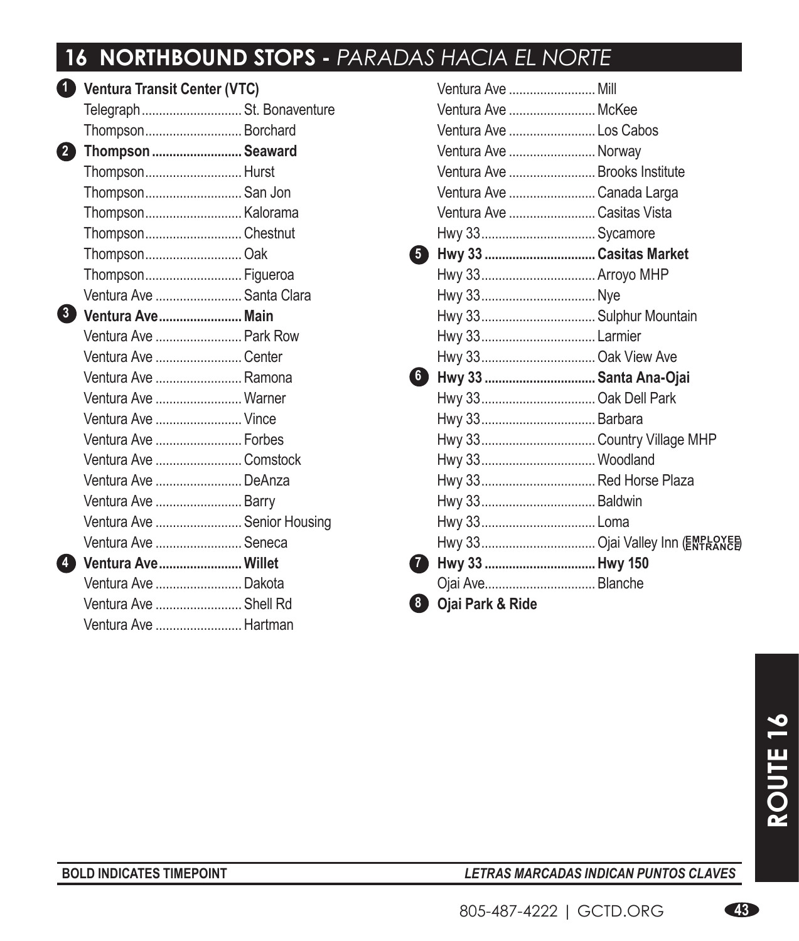## 16 **NORTHBOUND STOPS - PARADAS HACIA EL NORTE**

| $\mathbf{1}$   | <b>Ventura Transit Center (VTC)</b> |  |  |
|----------------|-------------------------------------|--|--|
|                | Telegraph St. Bonaventure           |  |  |
|                | Thompson Borchard                   |  |  |
| 2              | Thompson  Seaward                   |  |  |
|                | Thompson Hurst                      |  |  |
|                | Thompson San Jon                    |  |  |
|                | Thompson Kalorama                   |  |  |
|                | ThompsonChestnut                    |  |  |
|                | Thompson Oak                        |  |  |
|                | Thompson Figueroa                   |  |  |
|                | Ventura Ave  Santa Clara            |  |  |
|                | 3 Ventura Ave Main                  |  |  |
|                | Ventura Ave  Park Row               |  |  |
|                | Ventura Ave  Center                 |  |  |
|                | Ventura Ave  Ramona                 |  |  |
|                | Ventura Ave  Warner                 |  |  |
|                | Ventura Ave  Vince                  |  |  |
|                | Ventura Ave  Forbes                 |  |  |
|                | Ventura Ave  Comstock               |  |  |
|                | Ventura Ave  DeAnza                 |  |  |
|                | Ventura Ave  Barry                  |  |  |
|                | Ventura Ave  Senior Housing         |  |  |
|                | Ventura Ave  Seneca                 |  |  |
| $\overline{4}$ | Ventura Ave Willet                  |  |  |
|                | Ventura Ave  Dakota                 |  |  |
|                | Ventura Ave  Shell Rd               |  |  |
|                | Ventura Ave  Hartman                |  |  |

|    | <u>Ventura Ave </u> Mill      |  |
|----|-------------------------------|--|
|    | Ventura Ave  McKee            |  |
|    | Ventura Ave  Los Cabos        |  |
|    | Ventura Ave  Norway           |  |
|    | Ventura Ave  Brooks Institute |  |
|    | Ventura Ave  Canada Larga     |  |
|    | Ventura Ave  Casitas Vista    |  |
|    | Hwy 33 Sycamore               |  |
| 5) | Hwy 33  Casitas Market        |  |
|    | Hwy 33 Arroyo MHP             |  |
|    |                               |  |
|    | Hwy 33 Sulphur Mountain       |  |
|    | Hwy 33 Larmier                |  |
|    | Hwy 33 Oak View Ave           |  |
| 6  | Hwy 33  Santa Ana-Ojai        |  |
|    | Hwy 33 Oak Dell Park          |  |
|    | Hwy 33 Barbara                |  |
|    | Hwy 33 Country Village MHP    |  |
|    | Hwy 33 Woodland               |  |
|    | Hwy 33 Red Horse Plaza        |  |
|    | Hwy 33 Baldwin                |  |
|    |                               |  |
|    |                               |  |
| 7  | Hwy 33  Hwy 150               |  |
|    | Ojai Ave Blanche              |  |
| 8  | Ojai Park & Ride              |  |

### **BOLD INDICATES TIMEPOINT** *LETRAS MARCADAS INDICAN PUNTOS CLAVES*